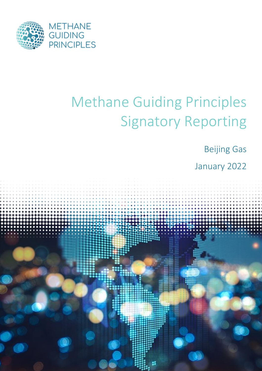

# Methane Guiding Principles Signatory Reporting

Beijing Gas

January 2022

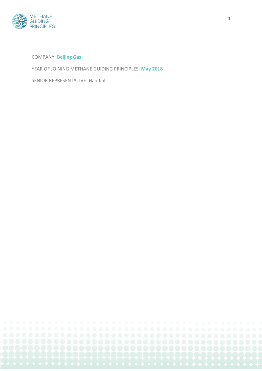

#### COMPANY: **Beijing Gas**

YEAR OF JOINING METHANE GUIDING PRINCIPLES: **May 2018**

SENIOR REPRESENTATIVE: Han Jinli

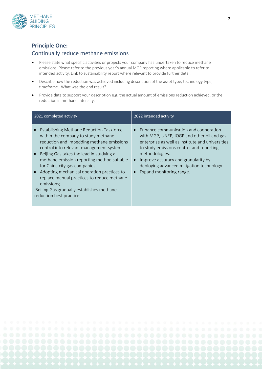

### **Principle One:**

#### Continually reduce methane emissions

- Please state what specific activities or projects your company has undertaken to reduce methane emissions. Please refer to the previous year's annual MGP reporting where applicable to refer to intended activity. Link to sustainability report where relevant to provide further detail.
- Describe how the reduction was achieved including description of the asset type, technology type, timeframe. What was the end result?
- Provide data to support your description e.g. the actual amount of emissions reduction achieved, or the reduction in methane intensity.

| 2021 completed activity                                                                                                                                                                                                                                                                                                                                                                                                                                                                             | 2022 intended activity                                                                                                                                                                                                                                                                                                                                       |
|-----------------------------------------------------------------------------------------------------------------------------------------------------------------------------------------------------------------------------------------------------------------------------------------------------------------------------------------------------------------------------------------------------------------------------------------------------------------------------------------------------|--------------------------------------------------------------------------------------------------------------------------------------------------------------------------------------------------------------------------------------------------------------------------------------------------------------------------------------------------------------|
| Establishing Methane Reduction Taskforce<br>within the company to study methane<br>reduction and imbedding methane emissions<br>control into relevant management system.<br>Beijing Gas takes the lead in studying a<br>methane emission reporting method suitable<br>for China city gas companies.<br>Adopting mechanical operation practices to<br>$\bullet$<br>replace manual practices to reduce methane<br>emissions;<br>Beijing Gas gradually establishes methane<br>reduction best practice. | Enhance communication and cooperation<br>$\bullet$<br>with MGP, UNEP, IOGP and other oil and gas<br>enterprise as well as institute and universities<br>to study emissions control and reporting<br>methodologies.<br>Improve accuracy and granularity by<br>$\bullet$<br>deploying advanced mitigation technology.<br>Expand monitoring range.<br>$\bullet$ |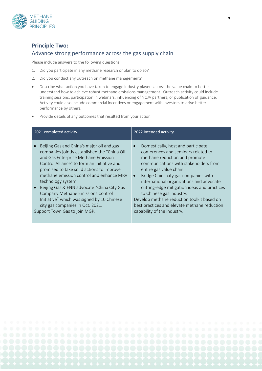

## **Principle Two:**  Advance strong performance across the gas supply chain

Please include answers to the following questions:

- 1. Did you participate in any methane research or plan to do so?
- 2. Did you conduct any outreach on methane management?
- Describe what action you have taken to engage industry players across the value chain to better understand how to achieve robust methane emissions management. Outreach activity could include training sessions, participation in webinars, influencing of NOJV partners, or publication of guidance. Activity could also include commercial incentives or engagement with investors to drive better performance by others.
- Provide details of any outcomes that resulted from your action.

| 2021 completed activity                                                                                                                                                                                                                                                                                                                                                                                                                                                                              | 2022 intended activity                                                                                                                                                                                                                                                                                                                                                                                                                                                                  |
|------------------------------------------------------------------------------------------------------------------------------------------------------------------------------------------------------------------------------------------------------------------------------------------------------------------------------------------------------------------------------------------------------------------------------------------------------------------------------------------------------|-----------------------------------------------------------------------------------------------------------------------------------------------------------------------------------------------------------------------------------------------------------------------------------------------------------------------------------------------------------------------------------------------------------------------------------------------------------------------------------------|
| Beijing Gas and China's major oil and gas<br>companies jointly established the "China Oil<br>and Gas Enterprise Methane Emission<br>Control Alliance" to form an initiative and<br>promised to take solid actions to improve<br>methane emission control and enhance MRV<br>technology system.<br>Beijing Gas & ENN advocate "China City Gas<br>Company Methane Emissions Control<br>Initiative" which was signed by 10 Chinese<br>city gas companies in Oct. 2021.<br>Support Town Gas to join MGP. | Domestically, host and participate<br>conferences and seminars related to<br>methane reduction and promote<br>communications with stakeholders from<br>entire gas value chain.<br>Bridge China city gas companies with<br>$\bullet$<br>international organizations and advocate<br>cutting-edge mitigation ideas and practices<br>to Chinese gas industry.<br>Develop methane reduction toolkit based on<br>best practices and elevate methane reduction<br>capability of the industry. |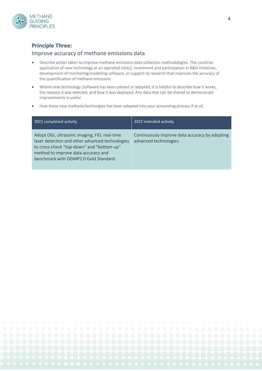

### **Principle Three:**

#### Improve accuracy of methane emissions data

- Describe action taken to improve methane emissions data collection methodologies. This could be application of new technology at an operated site(s), investment and participation in R&D initiatives, development of monitoring/modelling software, or support to research that improves the accuracy of the quantification of methane emissions.
- Where new technology /software has been piloted or adopted, it is helpful to describe how it works, the reasons it was selected, and how it was deployed. Any data that can be shared to demonstrate improvements is useful.
- How these new methods/technolgies has been adopted into your accounting process if at all.

| 2021 completed activity                                                                                                                                                                                                       | 2022 intended activity                                                   |
|-------------------------------------------------------------------------------------------------------------------------------------------------------------------------------------------------------------------------------|--------------------------------------------------------------------------|
| Adopt OGI, ultrasonic imaging, FID, real-time<br>laser detection and other advanced technologies<br>to cross-check "top-down" and "bottom-up"<br>method to improve data accuracy and<br>benchmark with OGMP2.0 Gold Standard. | Continuously improve data accuracy by adopting<br>advanced technologies. |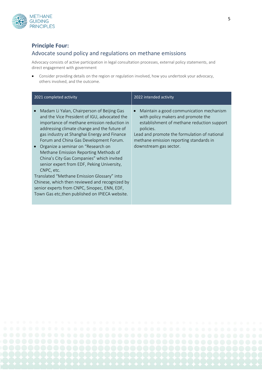

### **Principle Four:**

#### Advocate sound policy and regulations on methane emissions

Advocacy consists of active participation in legal consultation processes, external policy statements, and direct engagement with government

• Consider providing details on the region or regulation involved, how you undertook your advocacy, others involved, and the outcome.

| 2021 completed activity                                                                                                                                                                                                                                                                                                                                                                                                                                                                                                                                                                                                                                                                    | 2022 intended activity                                                                                                                                                                                                                                                     |
|--------------------------------------------------------------------------------------------------------------------------------------------------------------------------------------------------------------------------------------------------------------------------------------------------------------------------------------------------------------------------------------------------------------------------------------------------------------------------------------------------------------------------------------------------------------------------------------------------------------------------------------------------------------------------------------------|----------------------------------------------------------------------------------------------------------------------------------------------------------------------------------------------------------------------------------------------------------------------------|
| Madam Li Yalan, Chairperson of Beijing Gas<br>$\bullet$<br>and the Vice President of IGU, advocated the<br>importance of methane emission reduction in<br>addressing climate change and the future of<br>gas industry at Shanghai Energy and Finance<br>Forum and China Gas Development Forum.<br>Organize a seminar on "Research on<br>Methane Emission Reporting Methods of<br>China's City Gas Companies" which invited<br>senior expert from EDF, Peking University,<br>CNPC, etc.<br>Translated "Methane Emission Glossary" into<br>Chinese, which then reviewed and recognized by<br>senior experts from CNPC, Sinopec, ENN, EDF,<br>Town Gas etc, then published on IPIECA website. | Maintain a good communication mechanism<br>$\bullet$<br>with policy makers and promote the<br>establishment of methane reduction support<br>policies.<br>Lead and promote the formulation of national<br>methane emission reporting standards in<br>downstream gas sector. |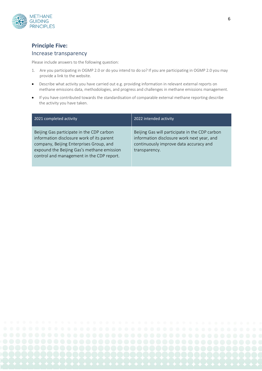

## **Principle Five:**

#### Increase transparency

Please include answers to the following question:

- 1. Are you participating in OGMP 2.0 or do you intend to do so? If you are participating in OGMP 2.0 you may provide a link to the website.
- Describe what activity you have carried out e.g. providing information in relevant external reports on methane emissions data, methodologies, and progress and challenges in methane emissions management.
- If you have contributed towards the standardisation of comparable external methane reporting describe the activity you have taken.

| 2021 completed activity                                                                                                                                                                                                      | 2022 intended activity                                                                                                                                  |
|------------------------------------------------------------------------------------------------------------------------------------------------------------------------------------------------------------------------------|---------------------------------------------------------------------------------------------------------------------------------------------------------|
| Beijing Gas participate in the CDP carbon<br>information disclosure work of its parent<br>company, Beijing Enterprises Group, and<br>expound the Beijing Gas's methane emission<br>control and management in the CDP report. | Beijing Gas will participate in the CDP carbon<br>information disclosure work next year, and<br>continuously improve data accuracy and<br>transparency. |